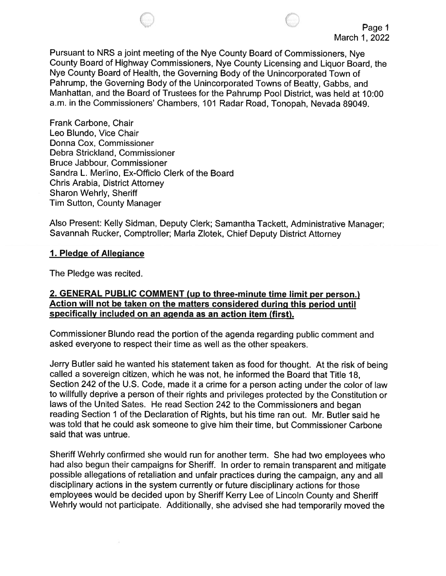

Pursuant to NRS a joint meeting of the Nye County Board of Commissioners, Nye County Board of Highway Commissioners, Nye County Licensing and Liquor Board, the Nye County Board of Health, the Governing Body of the Unincorporated Town of Pahrump, the Governing Body of the Unincorporated Towns of Beatty, Gabbs, and Manhattan, and the Board of Trustees for the Pahrump Pool District, was held at 10:00 a.m. in the Commissioners' Chambers, 101 Radar Road, Tonopah, Nevada 89049.

Frank Carbone, Chair Leo Blundo, Vice Chair Donna Cox, Commissioner Debra Strickland, Commissioner Bruce Jabbour, Commissioner Sandra L. Merlino, Ex-Officio Clerk of the Board Chris Arabia, District Attorney Sharon Wehrly, Sheriff Tim Sutton, County Manager

Also Present: Kelly Sidman, Deputy Clerk; Samantha Tackett, Administrative Manager; Savannah Rucker, Comptroller; MarIa Zlotek, Chief Deputy District Attorney

#### 1. Pledge of Allegiance

The Pledge was recited.

#### 2. GENERAL PUBLIC COMMENT (up to three-minute time limit per person.) Action will not be taken on the matters considered during this period until specifically included on an agenda as an action item (first).

Commissioner Blundo read the portion of the agenda regarding public comment and asked everyone to respect their time as well as the other speakers.

Jerry Butler said he wanted his statement taken as food for thought. At the risk of being called a sovereign citizen, which he was not, he informed the Board that Title 18, Section 242 of the U.S. Code, made it a crime for a person acting under the color of law to willfully deprive a person of their rights and privileges protected by the Constitution or laws of the United Sates. He read Section 242 to the Commissioners and began reading Section <sup>1</sup> of the Declaration of Rights, but his time ran out. Mr. Butler said he was told that he could ask someone to give him their time, but Commissioner Carbone said that was untrue.

Sheriff Wehrly confirmed she would run for another term. She had two employees who had also begun their campaigns for Sheriff. In order to remain transparent and mitigate possible allegations of retaliation and unfair practices during the campaign, any and all disciplinary actions in the system currently or future disciplinary actions for those employees would be decided upon by Sheriff Kerry Lee of Lincoln County and Sheriff Wehrly would not participate. Additionally, she advised she had temporarily moved the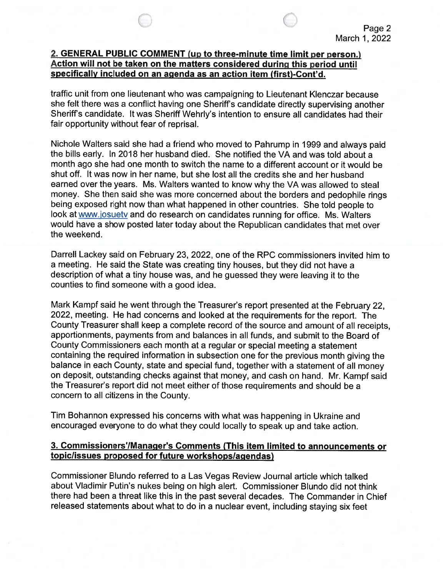### 2. GENERAL PUBLIC COMMENT (up to three-minute time limit per person.) Action will not be taken on the matters considered during this period until specifically included on an agenda as an action item (first)-Cont'd.

traffic unit from one lieutenant who was campaigning to Lieutenant Klenczar because she felt there was a conflict having one Sheriff's candidate directly supervising another Sheriff's candidate. It was Sheriff Wehrly's intention to ensure all candidates had their fair opportunity without fear of reprisal.

Nichole Walters said she had a friend who moved to Pahrump in 1999 and always paid the bills early. In 2018 her husband died. She notified the VA and was told about a month ago she had one month to switch the name to a different account or it would be shut off. It was now in her name, but she lost all the credits she and her husband earned over the years. Ms. Walters wanted to know why the VA was allowed to steal money. She then said she was more concerned about the borders and pedophile rings being exposed right now than what happened in other countries. She told people to look at www.josuety and do research on candidates running for office. Ms. Walters would have a show posted later today about the Republican candidates that met over the weekend.

Darrell Lackey said on February 23, 2022, one of the RPC commissioners invited him to a meeting. He said the State was creating tiny houses, but they did not have a description of what a tiny house was, and he guessed they were leaving it to the counties to find someone with a good idea.

Mark Kampf said he went through the Treasurer's report presented at the February 22, 2022, meeting. He had concerns and looked at the requirements for the report. The County Treasurer shall keep a complete record of the source and amount of all receipts, apportionments, payments from and balances in all funds, and submit to the Board of County Commissioners each month at a regular or special meeting a statement containing the required information in subsection one for the previous month giving the balance in each County, state and special fund, together with a statement of all money on deposit, outstanding checks against that money, and cash on hand. Mr. Kampf said the Treasurer's report did not meet either of those requirements and should be a concern to all citizens in the County.

Tim Bohannon expressed his concerns with what was happening in Ukraine and encouraged everyone to do what they could locally to speak up and take action.

#### 3. Commissioners'IManager's Comments (This item limited to announcements or topic/issues proposed for future workshopslagendas)

Commissioner Blundo referred to a Las Vegas Review Journal article which talked about Vladimir Putin's nukes being on high alert. Commissioner Blundo did not think there had been a threat like this in the past several decades. The Commander in Chief released statements about what to do in a nuclear event, including staying six feet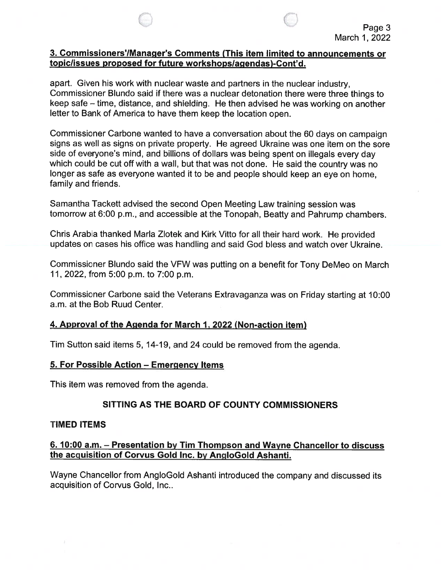#### 3. Commissioners'/Manager's Comments (This item limited to announcements or topiclissues proposed for future workshopslagendas)-Cont'd.

apart. Given his work with nuclear waste and partners in the nuclear industry, Commissioner Blundo said if there was a nuclear detonation there were three things to keep safe — time, distance, and shielding. He then advised he was working on another letter to Bank of America to have them keep the location open.

Commissioner Carbone wanted to have a conversation about the 60 days on campaign signs as well as signs on private property. He agreed Ukraine was one item on the sore side of everyone's mind, and billions of dollars was being spent on illegals every day which could be cut off with a wall, but that was not done. He said the country was no longer as safe as everyone wanted it to be and people should keep an eye on home, family and friends.

Samantha Tackett advised the second Open Meeting Law training session was tomorrow at 6:00 p.m., and accessible at the Tonopah, Beatty and Pahrump chambers.

Chris Arabia thanked MarIa Zlotek and Kirk Vitto for all their hard work. He provided updates on cases his office was handling and said God bless and watch over Ukraine.

Commissioner Blundo said the VFW was putting on a benefit for Tony DeMeo on March 11, 2022, from 5:00 p.m. to 7:00 p.m.

Commissioner Carbone said the Veterans Extravaganza was on Friday starting at 10:00 a.m. at the Bob Ruud Center.

### 4. Approval of the Agenda for March 1, 2022 (Non-action item)

Tim Sutton said items 5, 14-19, and 24 could be removed from the agenda.

### 5. For Possible Action — Emergency Items

This item was removed from the agenda.

# SITTING AS THE BOARD OF COUNTY COMMISSIONERS

### TIMED ITEMS

### 6. 10:00 a.m. — Presentation by Tim Thompson and Wayne Chancellor to discuss the acquisition of Corvus Gold Inc. by AngloGold Ashanti.

Wayne Chancellor from AngloGold Ashanti introduced the company and discussed its acquisition of Corvus Gold, Inc..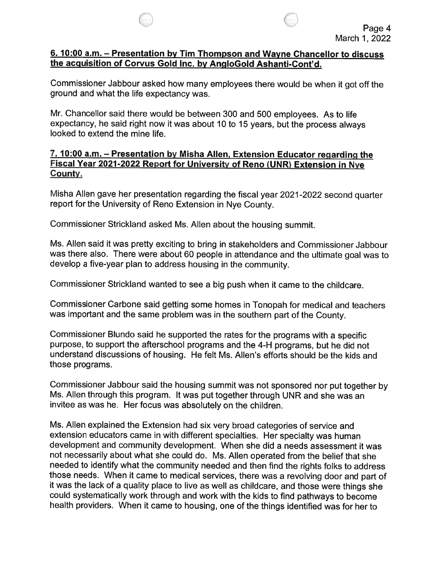#### 6. 10:00 a.m. — Presentation by Tim Thompson and Wayne Chancellor to discuss the acquisition of Corvus Gold Inc. by AngloGold Ashanti-Cont'd.

Commissioner Jabbour asked how many employees there would be when it got off the ground and what the life expectancy was.

Mr. Chancellor said there would be between 300 and 500 employees. As to life expectancy, he said right now it was about 10 to 15 years, but the process always looked to extend the mine life.

### 7. 10:00 a.m. — Presentation by Misha Allen, Extension Educator regarding the Fiscal Year 2021-2022 Report for University of Reno (UNR) Extension in Nye County.

Misha Allen gave her presentation regarding the fiscal year 2021-2022 second quarter report for the University of Reno Extension in Nye County.

Commissioner Strickland asked Ms. Allen about the housing summit.

Ms. Allen said it was pretty exciting to bring in stakeholders and Commissioner Jabbour was there also. There were about 60 people in attendance and the ultimate goal was to develop a five-year plan to address housing in the community.

Commissioner Strickland wanted to see a big push when it came to the childcare.

Commissioner Carbone said getting some homes in Tonopah for medical and teachers was important and the same problem was in the southern part of the County.

Commissioner Blundo said he supported the rates for the programs with a specific purpose, to support the afterschool programs and the 4-H programs, but he did not understand discussions of housing. He felt Ms. Allen's efforts should be the kids and those programs.

Commissioner Jabbour said the housing summit was not sponsored nor put together by Ms. Allen through this program. It was put together through UNR and she was an invitee as was he. Her focus was absolutely on the children.

Ms. Allen explained the Extension had six very broad categories of service and extension educators came in with different specialties. Her specialty was human development and community development. When she did a needs assessment it was not necessarily about what she could do. Ms. Allen operated from the belief that she needed to identify what the community needed and then find the rights folks to address those needs. When it came to medical services, there was a revolving door and part of it was the lack of a quality place to live as well as childcare, and those were things she could systematically work through and work with the kids to find pathways to become health providers. When it came to housing, one of the things identified was for her to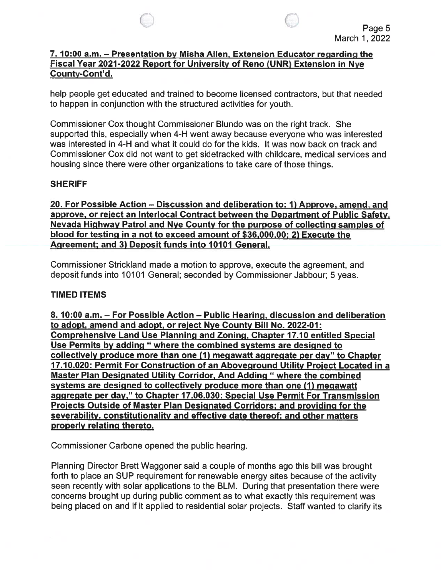

## 7. 10:00 a.m. — Presentation by Misha Allen, Extension Educator regarding the Fiscal Year 2021 -2022 Report for University of Reno (UNR) Extension in Nye County-Cont'd.

help people get educated and trained to become licensed contractors, but that needed to happen in conjunction with the structured activities for youth.

Commissioner Cox thought Commissioner Blundo was on the right track. She supported this, especially when 4-H went away because everyone who was interested was interested in 4-H and what it could do for the kids. It was now back on track and Commissioner Cox did not want to get sidetracked with childcare, medical services and housing since there were other organizations to take care of those things.

## SHERIFF

20. For Possible Action — Discussion and deliberation to: 1) Approve, amend, and approve, or reject an Interlocal Contract between the Department of Public Safety, Nevada Highway Patrol and Nye County for the purpose of collecting samples of blood for testing in a not to exceed amount of \$36,000.00; 2) Execute the Agreement; and 3) Deposit funds into 10101 General.

Commissioner Strickland made a motion to approve, execute the agreement, and deposit funds into 10101 General; seconded by Commissioner Jabbour; 5 yeas.

## TIMED ITEMS

8. 10:00 a.m. — For Possible Action — Public Hearing, discussion and deliberation to adopt, amend and adopt, or reject Nye County Bill No. 2022-01: Comprehensive Land Use Planning and Zoning, Chapter 17.10 entitled Special Use Permits by adding "where the combined systems are designed to collectively produce more than one (1) megawatt aggregate per day" to Chapter 17.10.020: Permit For Construction of an Aboveground Utility Project Located in a Master Plan Designated Utility Corridor, And Adding "where the combined systems are designed to collectively produce more than one (1) megawatt aggregate per day," to Chapter 17.06.030: Special Use Permit For Transmission Projects Outside of Master Plan Designated Corridors; and providing for the severability, constitutionality and effective date thereof; and other matters properly relating thereto.

Commissioner Carbone opened the public hearing.

Planning Director Brett Waggoner said a couple of months ago this bill was brought forth to place an SUP requirement for renewable energy sites because of the activity seen recently with solar applications to the BLM. During that presentation there were concerns brought up during public comment as to what exactly this requirement was being placed on and if it applied to residential solar projects. Staff wanted to clarify its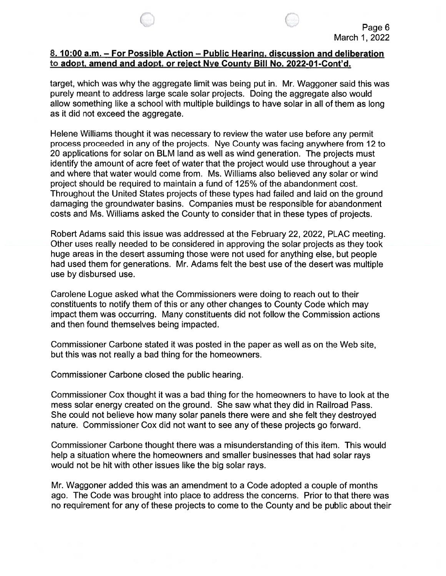

### 8. 10:00 a.m. — For Possible Action — Public Hearing, discussion and deliberation to adopt, amend and adopt, or reject Nye County Bill No. 2022-01-Cont'd.

target, which was why the aggregate limit was being put in. Mr. Waggoner said this was purely meant to address large scale solar projects. Doing the aggregate also would allow something like a school with multiple buildings to have solar in all of them as long as it did not exceed the aggregate.

Helene Williams thought it was necessary to review the water use before any permit process proceeded in any of the projects. Nye County was facing anywhere from 12 to 20 applications for solar on BLM land as well as wind generation. The projects must identify the amount of acre feet of water that the project would use throughout a year and where that water would come from. Ms. Williams also believed any solar or wind project should be required to maintain a fund of 125% of the abandonment cost. Throughout the United States projects of these types had failed and laid on the ground damaging the groundwater basins. Companies must be responsible for abandonment costs and Ms. Williams asked the County to consider that in these types of projects.

Robert Adams said this issue was addressed at the February 22, 2022, PLAC meeting. Other uses really needed to be considered in approving the solar projects as they took huge areas in the desert assuming those were not used for anything else, but people had used them for generations. Mr. Adams felt the best use of the desert was multiple use by disbursed use.

Carolene Logue asked what the Commissioners were doing to reach out to their constituents to notify them of this or any other changes to County Code which may impact them was occurring. Many constituents did not follow the Commission actions and then found themselves being impacted.

Commissioner Carbone stated it was posted in the paper as well as on the Web site, but this was not really a bad thing for the homeowners.

Commissioner Carbone closed the public hearing.

Commissioner Cox thought it was a bad thing for the homeowners to have to look at the mess solar energy created on the ground. She saw what they did in Railroad Pass. She could not believe how many solar panels there were and she felt they destroyed nature. Commissioner Cox did not want to see any of these projects go forward.

Commissioner Carbone thought there was a misunderstanding of this item. This would help a situation where the homeowners and smaller businesses that had solar rays would not be hit with other issues like the big solar rays.

Mr. Waggoner added this was an amendment to a Code adopted a couple of months ago. The Code was brought into place to address the concerns. Prior to that there was no requirement for any of these projects to come to the County and be public about their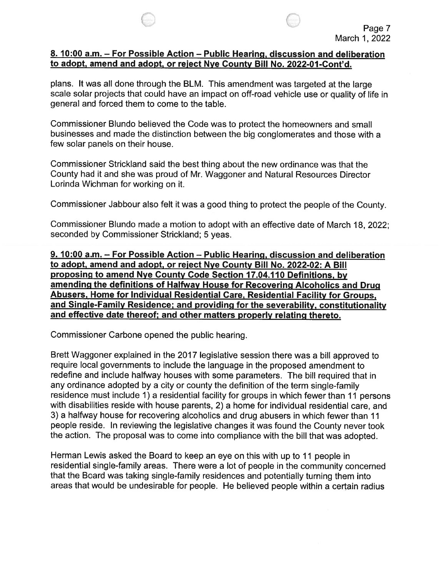#### 8. 10:00 a.m. – For Possible Action – Public Hearing, discussion and deliberation to adopt, amend and adopt, or reject Nye County Bill No. 2022-01-Cont'd.

plans. It was all done through the BLM. This amendment was targeted at the large scale solar projects that could have an impact on off-road vehicle use or quality of life in general and forced them to come to the table.

Commissioner Blundo believed the Code was to protect the homeowners and small businesses and made the distinction between the big conglomerates and those with a few solar panels on their house.

Commissioner Strickland said the best thing about the new ordinance was that the County had it and she was proud of Mr. Waggoner and Natural Resources Director Lorinda Wichman for working on it.

Commissioner Jabbour also felt it was a good thing to protect the people of the County.

Commissioner Blundo made a motion to adopt with an effective date of March 18, 2022; seconded by Commissioner Strickland; <sup>5</sup> yeas.

9. 10:00 a.m. — For Possible Action — Public Hearing, discussion and deliberation to adopt, amend and adopt, or reject Nye County Bill No. 2022-02: A Bill proposing to amend Nye County Code Section 17.04.110 Definitions, by amending the definitions of Halfway House for Recovering Alcoholics and Drug Abusers, Home for Individual Residential Care, Residential Facility for Groups, and Single-Family Residence; and providing for the severability, constitutionality and effective date thereof; and other matters properly relating thereto.

Commissioner Carbone opened the public hearing.

Brett Waggoner explained in the 2017 legislative session there was a bill approved to require local governments to include the language in the proposed amendment to redefine and include halfway houses with some parameters. The bill required that in any ordinance adopted by a city or county the definition of the term single-family residence must include 1) a residential facility for groups in which fewer than <sup>11</sup> persons with disabilities reside with house parents, 2) a home for individual residential care, and 3) a halfway house for recovering alcoholics and drug abusers in which fewer than <sup>11</sup> people reside. In reviewing the legislative changes it was found the County never took the action. The proposal was to come into compliance with the bill that was adopted.

Herman Lewis asked the Board to keep an eye on this with up to <sup>11</sup> people in residential single-family areas. There were a lot of people in the community concerned that the Board was taking single-family residences and potentially turning them into areas that would be undesirable for people. He believed people within a certain radius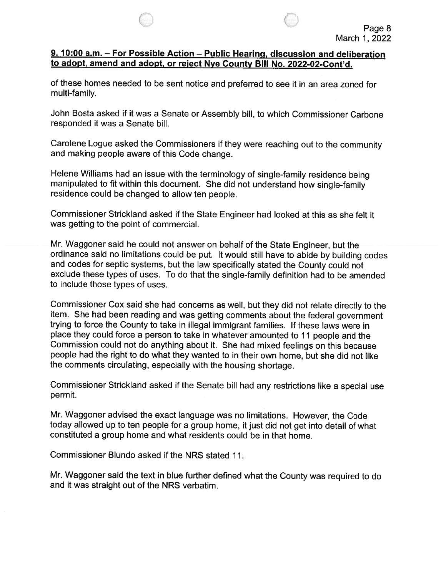

### 9. 10:00 a.m. – For Possible Action – Public Hearing, discussion and deliberation to adopt, amend and adopt, or reject Nye County Bill No. 2022-02-Cont'd.

of these homes needed to be sent notice and preferred to see it in an area zoned for multi-family.

John Bosta asked if it was a Senate or Assembly bill, to which Commissioner Carbone responded it was a Senate bill.

Carolene Logue asked the Commissioners if they were reaching out to the community and making people aware of this Code change.

Helene Williams had an issue with the terminology of single-family residence being manipulated to fit within this document. She did not understand how single-family residence could be changed to allow ten people.

Commissioner Strickland asked if the State Engineer had looked at this as she felt it was getting to the point of commercial.

Mr. Waggoner said he could not answer on behalf of the State Engineer, but the ordinance said no limitations could be put. It would still have to abide by building codes and codes for septic systems, but the law specifically stated the County could not exclude these types of uses. To do that the single-family definition had to be amended to include those types of uses.

Commissioner Cox said she had concerns as well, but they did not relate directly to the item. She had been reading and was getting comments about the federal government trying to force the County to take in illegal immigrant families. If these laws were in place they could force a person to take in whatever amounted to <sup>11</sup> people and the Commission could not do anything about it. She had mixed feelings on this because people had the right to do what they wanted to in their own home, but she did not like the comments circulating, especially with the housing shortage.

Commissioner Strickland asked if the Senate bill had any restrictions like a special use permit.

Mr. Waggoner advised the exact language was no limitations. However, the Code today allowed up to ten people for a group home, it just did not get into detail of what constituted a group home and what residents could be in that home.

Commissioner Blundo asked if the NRS stated 11.

Mr. Waggoner said the text in blue further defined what the County was required to do and it was straight out of the NRS verbatim.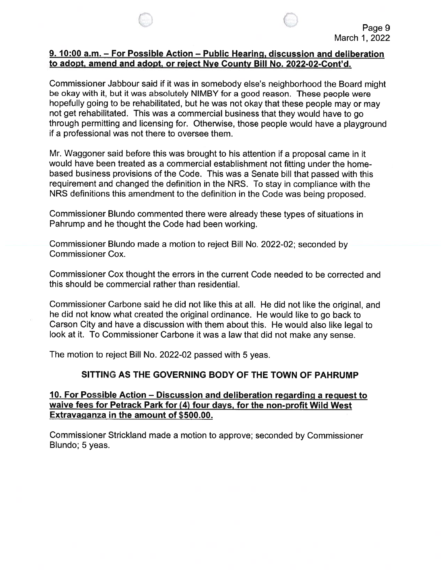#### 9. 10:00 a.m. — For Possible Action — Public Hearing, discussion and deliberation to adopt, amend and adopt, or reject Nye County Bill No. 2022-02-Cont'd.

Commissioner Jabbour said if it was in somebody else's neighborhood the Board might be okay with it, but it was absolutely NIMBY for a good reason. These people were hopefully going to be rehabilitated, but he was not okay that these people may or may not get rehabilitated. This was a commercial business that they would have to go through permitting and licensing for. Otherwise, those people would have a playground if a professional was not there to oversee them.

Mr. Waggoner said before this was brought to his attention if a proposal came in it would have been treated as a commercial establishment not fitting under the homebased business provisions of the Code. This was a Senate bill that passed with this requirement and changed the definition in the NRS. To stay in compliance with the NRS definitions this amendment to the definition in the Code was being proposed.

Commissioner Blundo commented there were already these types of situations in Pahrump and he thought the Code had been working.

Commissioner Blundo made a motion to reject Bill No. 2022-02; seconded by Commissioner Cox.

Commissioner Cox thought the errors in the current Code needed to be corrected and this should be commercial rather than residential.

Commissioner Carbone said he did not like this at all. He did not like the original, and he did not know what created the original ordinance. He would like to go back to Carson City and have a discussion with them about this. He would also like legal to look at it. To Commissioner Carbone it was a law that did not make any sense.

The motion to reject Bill No. 2022-02 passed with 5 yeas.

### SITTING AS THE GOVERNING BODY OF THE TOWN OF PAHRUMP

### 10. For Possible Action — Discussion and deliberation regarding a request to waive fees for Petrack Park for (4) four days, for the non-profit Wild West Extravaganza in the amount of \$500.00.

Commissioner Strickland made a motion to approve; seconded by Commissioner Blundo; 5 yeas.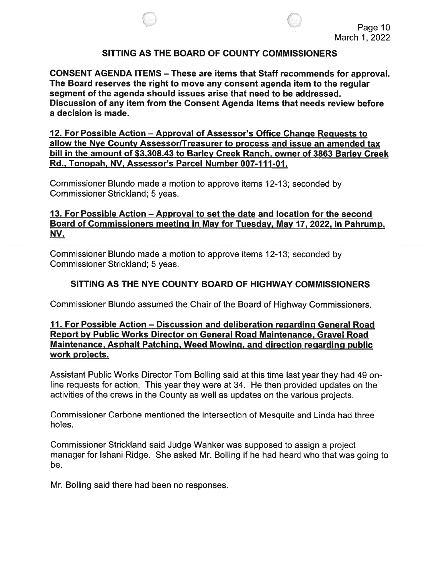

#### SITTING AS THE BOARD OF COUNTY COMMISSIONERS

CONSENT AGENDA ITEMS — These are items that Staff recommends for approval. The Board reserves the right to move any consent agenda item to the regular segment of the agenda should issues arise that need to be addressed. Discussion of any item from the Consent Agenda Items that needs review before a decision is made.

12. For Possible Action — Approval of Assessor's Office Change Requests to allow the Nye County Assessor/Treasurer to process and issue an amended tax bill in the amount of \$3,308.43 to Barley Creek Ranch, owner of 3863 Barley Creek Rd., Tonopah, NV, Assessor's Parcel Number 007-111-01.

Commissioner Blundo made a motion to approve items 12-13; seconded by Commissioner Strickland; 5 yeas.

### 13. For Possible Action — Approval to set the date and location for the second Board of Commissioners meeting in May for Tuesday, May 17, 2022, in Pahrump, NV.

Commissioner Blundo made a motion to approve items 12-13; seconded by Commissioner Strickland; 5 yeas.

### SITTING AS THE NYE COUNTY BOARD OF HIGHWAY COMMISSIONERS

Commissioner Blundo assumed the Chair of the Board of Highway Commissioners.

### 11. For Possible Action — Discussion and deliberation regarding General Road Report by Public Works Director on General Road Maintenance, Gravel Road Maintenance, Asphalt Patching, Weed Mowing, and direction regarding public work projects.

Assistant Public Works Director Tom Bolling said at this time last year they had 49 online requests for action. This year they were at 34. He then provided updates on the activities of the crews in the County as well as updates on the various projects.

Commissioner Carbone mentioned the intersection of Mesquite and Linda had three holes.

Commissioner Strickland said Judge Wanker was supposed to assign a project manager for Ishani Ridge. She asked Mr. Bolling if he had heard who that was going to be.

Mr. Bolling said there had been no responses.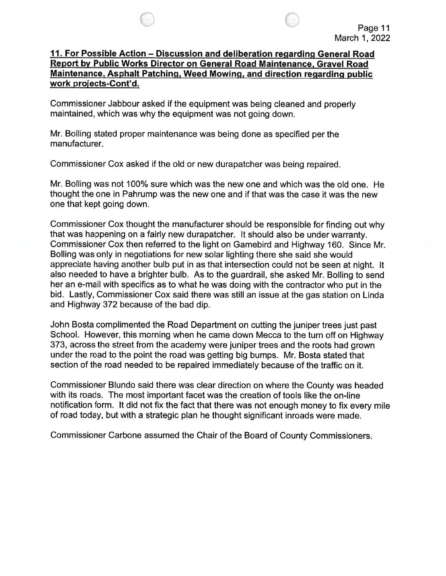### 11. For Possible Action — Discussion and deliberation regarding General Road Report by Public Works Director on General Road Maintenance, Gravel Road Maintenance, Asphalt Patching, Weed Mowing, and direction regarding public work projects-Cont'd.

Commissioner Jabbour asked if the equipment was being cleaned and properly maintained, which was why the equipment was not going down.

Mr. Bolling stated proper maintenance was being done as specified per the manufacturer.

Commissioner Cox asked if the old or new durapatcher was being repaired.

Mr. Boiling was not 100% sure which was the new one and which was the old one. He thought the one in Pahrump was the new one and if that was the case it was the new one that kept going down.

Commissioner Cox thought the manufacturer should be responsible for finding out why that was happening on a fairly new durapatcher. It should also be under warranty. Commissioner Cox then referred to the light on Gamebird and Highway 160. Since Mr. Boiling was only in negotiations for new solar lighting there she said she would appreciate having another bulb put in as that intersection could not be seen at night. It also needed to have a brighter bulb. As to the guardrail, she asked Mr. Bolling to send her an e-mail with specifics as to what he was doing with the contractor who put in the bid. Lastly, Commissioner Cox said there was still an issue at the gas station on Linda and Highway 372 because of the bad dip.

John Bosta complimented the Road Department on cutting the juniper trees just past School. However, this morning when he came down Mecca to the turn off on Highway 373, across the street from the academy were juniper trees and the roots had grown under the road to the point the road was getting big bumps. Mr. Bosta stated that section of the road needed to be repaired immediately because of the traffic on it.

Commissioner Biundo said there was clear direction on where the County was headed with its roads. The most important facet was the creation of tools like the on-line notification form. it did not fix the fact that there was not enough money to fix every mite of road today, but with a strategic plan he thought significant inroads were made.

Commissioner Carbone assumed the Chair of the Board of County Commissioners.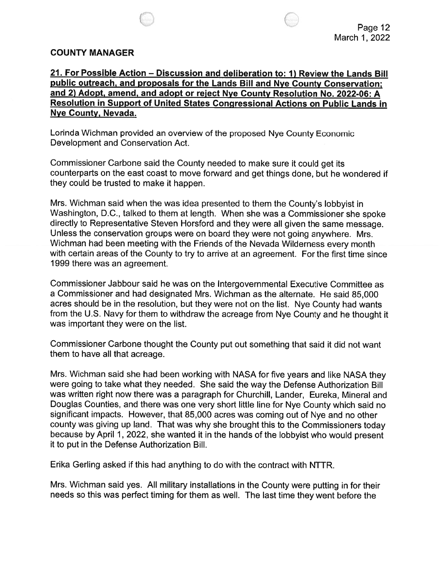### COUNTY MANAGER

21. For Possible Action — Discussion and deliberation to: 1) Review the Lands Bill public outreach, and proposals for the Lands Bill and Nye County Conservation; and 2) Adopt, amend, and adopt or reject Nye County Resolution No. 2022-06: A Resolution in Support of United States Congressional Actions on Public Lands in Nye County, Nevada.

Lorinda Wichman provided an overview of the proposed Nye County Economic Development and Conservation Act.

Commissioner Carbone said the County needed to make sure it could get its counterparts on the east coast to move forward and get things done, but he wondered if they could be trusted to make it happen.

Mrs. Wichman said when the was idea presented to them the County's lobbyist in Washington, D.C., talked to them at length. When she was a Commissioner she spoke directly to Representative Steven Horsford and they were all given the same message. Unless the conservation groups were on board they were not going anywhere. Mrs. Wichman had been meeting with the Friends of the Nevada Wilderness every month with certain areas of the County to try to arrive at an agreement. For the first time since 1999 there was an agreement.

Commissioner Jabbour said he was on the Intergovernmental Executive Committee as a Commissioner and had designated Mrs. Wichman as the alternate. He said 85,000 acres should be in the resolution, but they were not on the list. Nye County had wants from the U.S. Navy for them to withdraw the acreage from Nye County and he thought it was important they were on the list.

Commissioner Carbone thought the County put out something that said it did not want them to have all that acreage.

Mrs. Wichman said she had been working with NASA for five years and like NASA they were going to take what they needed. She said the way the Defense Authorization Bill was written right now there was a paragraph for Churchill, Lander, Eureka, Mineral and Douglas Counties, and there was one very short little line for Nye County which said no significant impacts. However, that 85,000 acres was coming out of Nye and no other county was giving up land. That was why she brought this to the Commissioners today because by April 1, 2022, she wanted it in the hands of the lobbyist who would present it to put in the Defense Authorization Bill.

Erika Gerling asked if this had anything to do with the contract with NTTR.

Mrs. Wichman said yes. All military installations in the County were putting in for their needs so this was perfect timing for them as well. The last time they went before the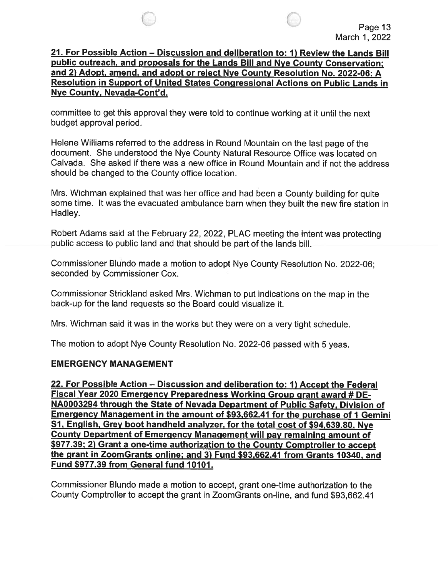### 21. For Possible Action — Discussion and deliberation to: 1) Review the Lands Bill public outreach, and proposals for the Lands Bill and Nye County Conservation; and 2) Adopt, amend, and adopt or reject Nye County Resolution No. 2022-06: A Resolution in Support of United States Congressional Actions on Public Lands in Nye County, Nevada-Cont'd.

committee to get this approval they were told to continue working at it until the next budget approval period.

Helene Williams referred to the address in Round Mountain on the last page of the document. She understood the Nye County Natural Resource Office was located on Calvada. She asked if there was a new office in Round Mountain and if not the address should be changed to the County office location.

Mrs. Wichman explained that was her office and had been a County building for quite some time. It was the evacuated ambulance barn when they built the new fire station in Hadley.

Robert Adams said at the February 22, 2022, PLAC meeting the intent was protecting public access to public land and that should be part of the lands bill.

Commissioner Blundo made a motion to adopt Nye County Resolution No. 2022-06; seconded by Commissioner Cox.

Commissioner Strickland asked Mrs. Wichman to put indications on the map in the back-up for the land requests so the Board could visualize it.

Mrs. Wichman said it was in the works but they were on a very tight schedule.

The motion to adopt Nye County Resolution No. 2022-06 passed with 5 yeas.

### EMERGENCY MANAGEMENT

22. For Possible Action — Discussion and deliberation to: 1) Accept the Federal Fiscal Year 2020 Emergency Preparedness Working Group grant award # DE NA0003294 through the State of Nevada Department of Public Safety. Division of Emergency Management in the amount of \$93,662.41 for the purchase of <sup>I</sup> Gemini SI, English, Grey boot handheld analyzer, for the total cost of \$94,639.80. Nye County Department of Emergency Management will pay remaining amount of \$977.39; 2) Grant a one-time authorization to the County Comptroller to accept the grant in ZoomGrants online; and 3) Fund \$93,662.41 from Grants 10340, and Fund \$977.39 from General fund 10101.

Commissioner Blundo made a motion to accept, grant one-time authorization to the County Comptroller to accept the grant in ZoomGrants on-line, and fund \$93,662.41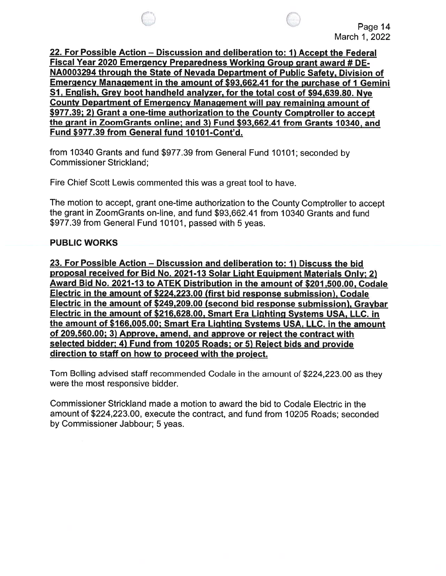22. For Possible Action — Discussion and deliberation to: 1) Accept the Federal Fiscal Year 2020 Emergency Preparedness Working Group grant award # DE NA0003294 through the State of Nevada Department of Public Safety, Division of Emergency Management in the amount of \$93,662.41 for the purchase of I Gemini SI, English, Grey boot handheld analyzer, for the total cost of \$94,639.80. Nye County Department of Emergency Management will pay remaining amount of \$977.39; 2) Grant a one-time authorization to the County Comptroller to accept the grant in ZoomGrants online; and 3) Fund \$93,662.41 from Grants 10340, and Fund \$977.39 from General fund 10101-Cont'd.

from 10340 Grants and fund \$977.39 from General Fund 10101; seconded by Commissioner Strickland;

Fire Chief Scott Lewis commented this was a great tool to have.

The motion to accept, grant one-time authorization to the County Comptroller to accept the grant in ZoomGrants on-line, and fund \$93,662.41 from 10340 Grants and fund \$977.39 from General Fund 10101, passed with 5 yeas.

### PUBLIC WORKS

23. For Possible Action — Discussion and deliberation to: 1) Discuss the bid proposal received for Bid No. 2021-13 Solar Light Equipment Materials Only; 2) Award Bid No. 2021-13 to ATEK Distribution in the amount of \$201,500.00, Codale Electric in the amount of \$224,223.00 (first bid response submission), Codale Electric in the amount of \$249,209.00 (second bid response submission), Graybar Electric in the amount of \$216,628.00, Smart Era Lighting Systems USA, LLC. in the amount of \$166,005.00; Smart Era Lighting Systems USA, LLC. in the amount of 209,560.00; 3) Approve, amend, and approve or reject the contract with selected bidder; 4) Fund from 10205 Roads; or 5) Reject bids and provide direction to staff on how to proceed with the project.

Tom BoIling advised staff recommended Codale in the amount of \$224,223.00 as they were the most responsive bidder.

Commissioner Strickland made a motion to award the bid to Codale Electric in the amount of \$224,223.00, execute the contract, and fund from 10205 Roads; seconded by Commissioner Jabbour; 5 yeas.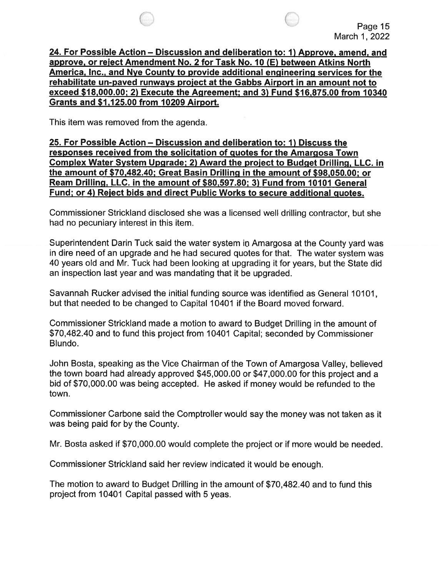

24. For Possible Action — Discussion and deliberation to: 1) Approve, amend, and approve, or reject Amendment No. 2 for Task No. 10 (E) between Atkins North America, Inc., and Nye County to provide additional engineering services for the rehabilitate un-paved runways project at the Gabbs Airport in an amount not to exceed \$18,000.00; 2) Execute the Agreement; and 3) Fund \$16,875.00 from 10340 Grants and \$1,125.00 from 10209 Airport.

This item was removed from the agenda.

25. For Possible Action — Discussion and deliberation to: 1) Discuss the responses received from the solicitation of quotes for the Amargosa Town Complex Water System Upgrade; 2) Award the proiect to Budget Drilling, LLC. in the amount of \$70,482.40; Great Basin Drilling in the amount of \$98,050.00; or Ream Drilling, LLC. in the amount of \$80,597.80; 3) Fund from 10101 General Fund; or 4) Reject bids and direct Public Works to secure additional quotes.

Commissioner Strickland disclosed she was a licensed well drilling contractor, but she had no pecuniary interest in this item.

Superintendent Darin Tuck said the water system in Amargosa at the County yard was in dire need of an upgrade and he had secured quotes for that. The water system was 40 years old and Mr. Tuck had been looking at upgrading it for years, but the State did an inspection last year and was mandating that it be upgraded.

Savannah Rucker advised the initial funding source was identified as General 10101, but that needed to be changed to Capital 10401 if the Board moved forward.

Commissioner Strickland made a motion to award to Budget Drilling in the amount of \$70,482.40 and to fund this project from 10401 Capital; seconded by Commissioner Blundo.

John Bosta, speaking as the Vice Chairman of the Town of Amargosa Valley, believed the town board had already approved \$45,000.00 or \$47,000.00 for this project and a bid of \$70,000.00 was being accepted. He asked if money would be refunded to the town.

Commissioner Carbone said the Comptroller would say the money was not taken as it was being paid for by the County.

Mr. Bosta asked if \$70,000.00 would complete the project or if more would be needed.

Commissioner Strickland said her review indicated it would be enough.

The motion to award to Budget Drilling in the amount of \$70,482.40 and to fund this project from 10401 Capital passed with 5 yeas.